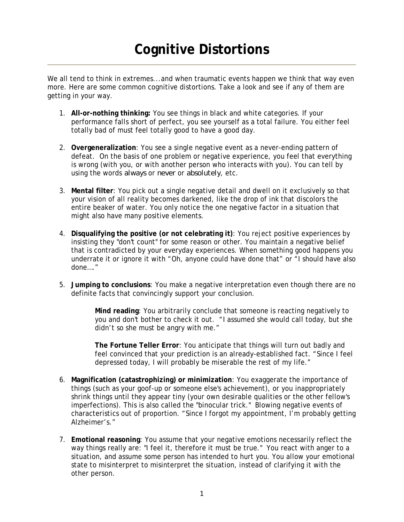We all tend to think in extremes...and when traumatic events happen we think that way even more. Here are some common cognitive distortions. Take a look and see if any of them are getting in your way.

- 1. **All-or-nothing thinking:** You see things in black and white categories. If your performance falls short of perfect, you see yourself as a total failure. You either feel totally bad of must feel totally good to have a good day.
- 2. **Overgeneralization**: You see a single negative event as a never-ending pattern of defeat. On the basis of one problem or negative experience, you feel that everything is wrong (with you, or with another person who interacts with you). You can tell by using the words *always* or *never* or *absolutely*, etc.
- 3. **Mental filter**: You pick out a single negative detail and dwell on it exclusively so that your vision of all reality becomes darkened, like the drop of ink that discolors the entire beaker of water. You only notice the one negative factor in a situation that might also have many positive elements.
- 4. **Disqualifying the positive (or not celebrating it)**: You reject positive experiences by insisting they "don't count" for some reason or other. You maintain a negative belief that is contradicted by your everyday experiences. When something good happens you underrate it or ignore it with "Oh, anyone could have done that" or "I should have also done…."
- 5. **Jumping to conclusions**: You make a negative interpretation even though there are no definite facts that convincingly support your conclusion.

**Mind reading**: You arbitrarily conclude that someone is reacting negatively to you and don't bother to check it out. "I assumed she would call today, but she didn't so she must be angry with me."

**The Fortune Teller Error**: You anticipate that things will turn out badly and feel convinced that your prediction is an already-established fact. "Since I feel depressed today, I will probably be miserable the rest of my life."

- 6. **Magnification (catastrophizing) or minimization**: You exaggerate the importance of things (such as your goof-up or someone else's achievement), or you inappropriately shrink things until they appear tiny (your own desirable qualities or the other fellow's imperfections). This is also called the "binocular trick." Blowing negative events of characteristics out of proportion. "Since I forgot my appointment, I'm probably getting Alzheimer's."
- 7. **Emotional reasoning**: You assume that your negative emotions necessarily reflect the way things really are: "I feel it, therefore it must be true." You react with anger to a situation, and assume some person has intended to hurt you. You allow your emotional state to misinterpret to misinterpret the situation, instead of clarifying it with the other person.